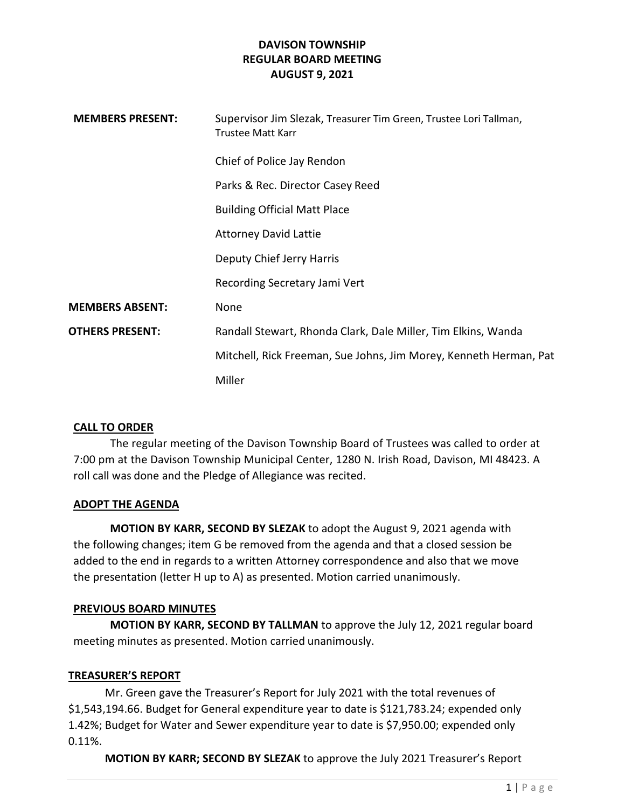| <b>MEMBERS PRESENT:</b> | Supervisor Jim Slezak, Treasurer Tim Green, Trustee Lori Tallman,<br><b>Trustee Matt Karr</b> |
|-------------------------|-----------------------------------------------------------------------------------------------|
|                         | Chief of Police Jay Rendon                                                                    |
|                         | Parks & Rec. Director Casey Reed                                                              |
|                         | <b>Building Official Matt Place</b>                                                           |
|                         | <b>Attorney David Lattie</b>                                                                  |
|                         | Deputy Chief Jerry Harris                                                                     |
|                         | Recording Secretary Jami Vert                                                                 |
| <b>MEMBERS ABSENT:</b>  | None                                                                                          |
| <b>OTHERS PRESENT:</b>  | Randall Stewart, Rhonda Clark, Dale Miller, Tim Elkins, Wanda                                 |
|                         | Mitchell, Rick Freeman, Sue Johns, Jim Morey, Kenneth Herman, Pat                             |
|                         | Miller                                                                                        |

### CALL TO ORDER

The regular meeting of the Davison Township Board of Trustees was called to order at 7:00 pm at the Davison Township Municipal Center, 1280 N. Irish Road, Davison, MI 48423. A roll call was done and the Pledge of Allegiance was recited.

### ADOPT THE AGENDA

MOTION BY KARR, SECOND BY SLEZAK to adopt the August 9, 2021 agenda with the following changes; item G be removed from the agenda and that a closed session be added to the end in regards to a written Attorney correspondence and also that we move the presentation (letter H up to A) as presented. Motion carried unanimously.

### PREVIOUS BOARD MINUTES

MOTION BY KARR, SECOND BY TALLMAN to approve the July 12, 2021 regular board meeting minutes as presented. Motion carried unanimously.

### TREASURER'S REPORT

 Mr. Green gave the Treasurer's Report for July 2021 with the total revenues of \$1,543,194.66. Budget for General expenditure year to date is \$121,783.24; expended only 1.42%; Budget for Water and Sewer expenditure year to date is \$7,950.00; expended only 0.11%.

MOTION BY KARR; SECOND BY SLEZAK to approve the July 2021 Treasurer's Report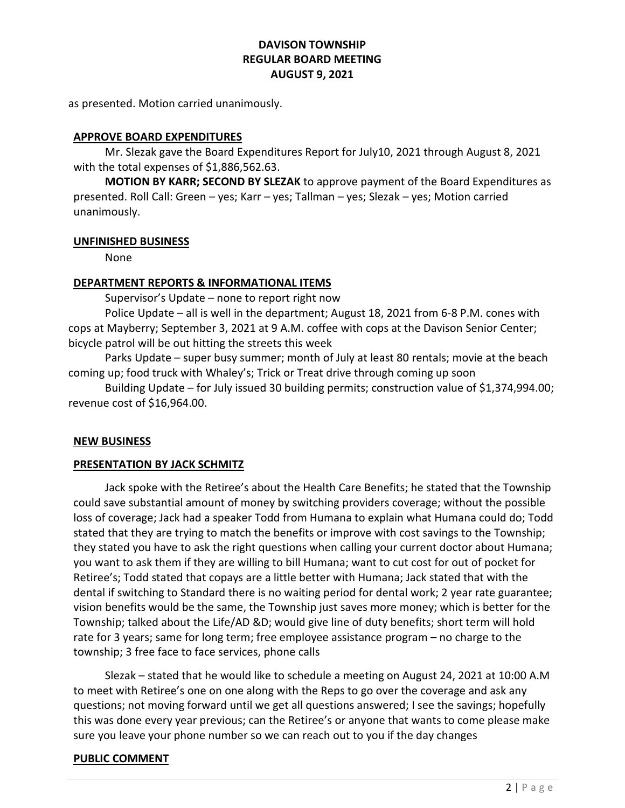as presented. Motion carried unanimously.

### APPROVE BOARD EXPENDITURES

 Mr. Slezak gave the Board Expenditures Report for July10, 2021 through August 8, 2021 with the total expenses of \$1,886,562.63.

MOTION BY KARR; SECOND BY SLEZAK to approve payment of the Board Expenditures as presented. Roll Call: Green – yes; Karr – yes; Tallman – yes; Slezak – yes; Motion carried unanimously.

#### UNFINISHED BUSINESS

None

### DEPARTMENT REPORTS & INFORMATIONAL ITEMS

Supervisor's Update – none to report right now

 Police Update – all is well in the department; August 18, 2021 from 6-8 P.M. cones with cops at Mayberry; September 3, 2021 at 9 A.M. coffee with cops at the Davison Senior Center; bicycle patrol will be out hitting the streets this week

 Parks Update – super busy summer; month of July at least 80 rentals; movie at the beach coming up; food truck with Whaley's; Trick or Treat drive through coming up soon

 Building Update – for July issued 30 building permits; construction value of \$1,374,994.00; revenue cost of \$16,964.00.

### NEW BUSINESS

### PRESENTATION BY JACK SCHMITZ

Jack spoke with the Retiree's about the Health Care Benefits; he stated that the Township could save substantial amount of money by switching providers coverage; without the possible loss of coverage; Jack had a speaker Todd from Humana to explain what Humana could do; Todd stated that they are trying to match the benefits or improve with cost savings to the Township; they stated you have to ask the right questions when calling your current doctor about Humana; you want to ask them if they are willing to bill Humana; want to cut cost for out of pocket for Retiree's; Todd stated that copays are a little better with Humana; Jack stated that with the dental if switching to Standard there is no waiting period for dental work; 2 year rate guarantee; vision benefits would be the same, the Township just saves more money; which is better for the Township; talked about the Life/AD &D; would give line of duty benefits; short term will hold rate for 3 years; same for long term; free employee assistance program – no charge to the township; 3 free face to face services, phone calls

 Slezak – stated that he would like to schedule a meeting on August 24, 2021 at 10:00 A.M to meet with Retiree's one on one along with the Reps to go over the coverage and ask any questions; not moving forward until we get all questions answered; I see the savings; hopefully this was done every year previous; can the Retiree's or anyone that wants to come please make sure you leave your phone number so we can reach out to you if the day changes

### PUBLIC COMMENT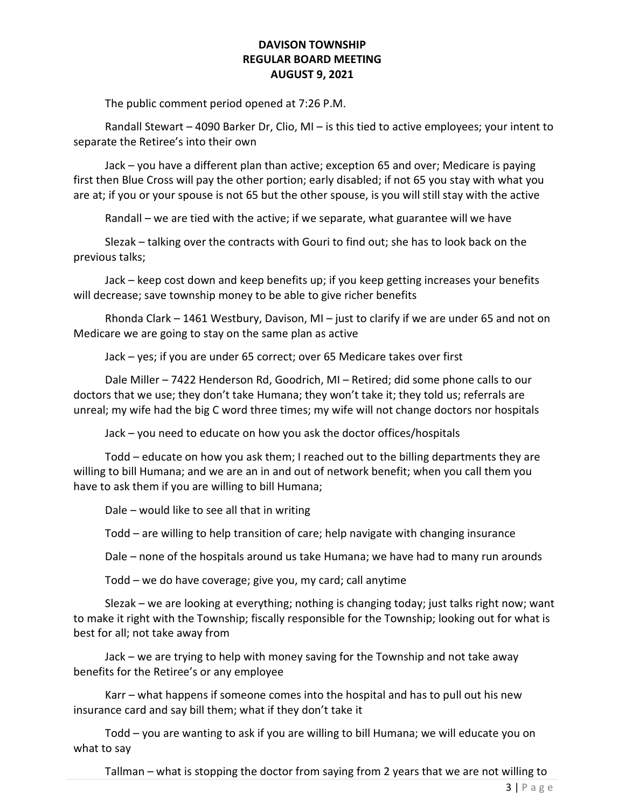The public comment period opened at 7:26 P.M.

 Randall Stewart – 4090 Barker Dr, Clio, MI – is this tied to active employees; your intent to separate the Retiree's into their own

 Jack – you have a different plan than active; exception 65 and over; Medicare is paying first then Blue Cross will pay the other portion; early disabled; if not 65 you stay with what you are at; if you or your spouse is not 65 but the other spouse, is you will still stay with the active

Randall – we are tied with the active; if we separate, what guarantee will we have

 Slezak – talking over the contracts with Gouri to find out; she has to look back on the previous talks;

 Jack – keep cost down and keep benefits up; if you keep getting increases your benefits will decrease; save township money to be able to give richer benefits

 Rhonda Clark – 1461 Westbury, Davison, MI – just to clarify if we are under 65 and not on Medicare we are going to stay on the same plan as active

Jack – yes; if you are under 65 correct; over 65 Medicare takes over first

 Dale Miller – 7422 Henderson Rd, Goodrich, MI – Retired; did some phone calls to our doctors that we use; they don't take Humana; they won't take it; they told us; referrals are unreal; my wife had the big C word three times; my wife will not change doctors nor hospitals

Jack – you need to educate on how you ask the doctor offices/hospitals

 Todd – educate on how you ask them; I reached out to the billing departments they are willing to bill Humana; and we are an in and out of network benefit; when you call them you have to ask them if you are willing to bill Humana;

Dale – would like to see all that in writing

Todd – are willing to help transition of care; help navigate with changing insurance

Dale – none of the hospitals around us take Humana; we have had to many run arounds

Todd – we do have coverage; give you, my card; call anytime

 Slezak – we are looking at everything; nothing is changing today; just talks right now; want to make it right with the Township; fiscally responsible for the Township; looking out for what is best for all; not take away from

 Jack – we are trying to help with money saving for the Township and not take away benefits for the Retiree's or any employee

 Karr – what happens if someone comes into the hospital and has to pull out his new insurance card and say bill them; what if they don't take it

 Todd – you are wanting to ask if you are willing to bill Humana; we will educate you on what to say

Tallman – what is stopping the doctor from saying from 2 years that we are not willing to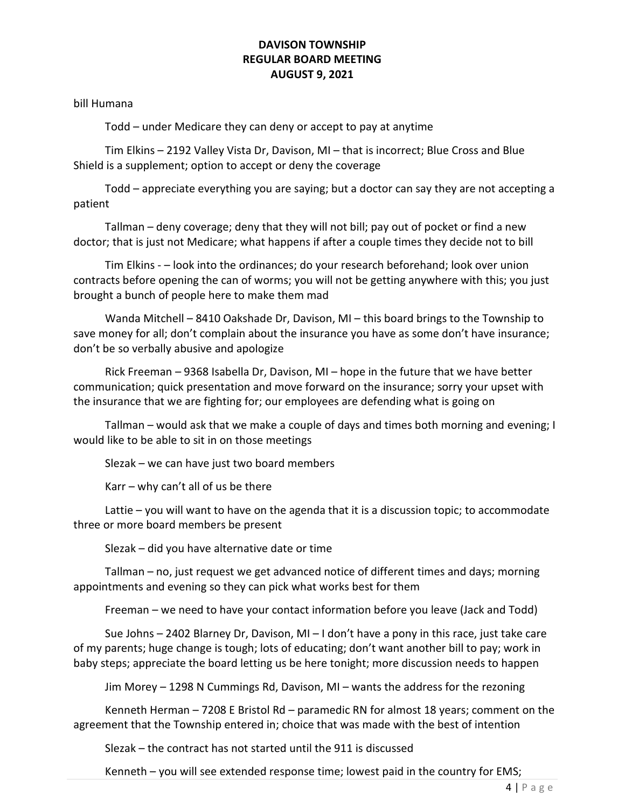bill Humana

Todd – under Medicare they can deny or accept to pay at anytime

 Tim Elkins – 2192 Valley Vista Dr, Davison, MI – that is incorrect; Blue Cross and Blue Shield is a supplement; option to accept or deny the coverage

 Todd – appreciate everything you are saying; but a doctor can say they are not accepting a patient

 Tallman – deny coverage; deny that they will not bill; pay out of pocket or find a new doctor; that is just not Medicare; what happens if after a couple times they decide not to bill

 Tim Elkins - – look into the ordinances; do your research beforehand; look over union contracts before opening the can of worms; you will not be getting anywhere with this; you just brought a bunch of people here to make them mad

 Wanda Mitchell – 8410 Oakshade Dr, Davison, MI – this board brings to the Township to save money for all; don't complain about the insurance you have as some don't have insurance; don't be so verbally abusive and apologize

 Rick Freeman – 9368 Isabella Dr, Davison, MI – hope in the future that we have better communication; quick presentation and move forward on the insurance; sorry your upset with the insurance that we are fighting for; our employees are defending what is going on

 Tallman – would ask that we make a couple of days and times both morning and evening; I would like to be able to sit in on those meetings

Slezak – we can have just two board members

Karr – why can't all of us be there

 Lattie – you will want to have on the agenda that it is a discussion topic; to accommodate three or more board members be present

Slezak – did you have alternative date or time

 Tallman – no, just request we get advanced notice of different times and days; morning appointments and evening so they can pick what works best for them

Freeman – we need to have your contact information before you leave (Jack and Todd)

 Sue Johns – 2402 Blarney Dr, Davison, MI – I don't have a pony in this race, just take care of my parents; huge change is tough; lots of educating; don't want another bill to pay; work in baby steps; appreciate the board letting us be here tonight; more discussion needs to happen

Jim Morey – 1298 N Cummings Rd, Davison, MI – wants the address for the rezoning

 Kenneth Herman – 7208 E Bristol Rd – paramedic RN for almost 18 years; comment on the agreement that the Township entered in; choice that was made with the best of intention

Slezak – the contract has not started until the 911 is discussed

Kenneth – you will see extended response time; lowest paid in the country for EMS;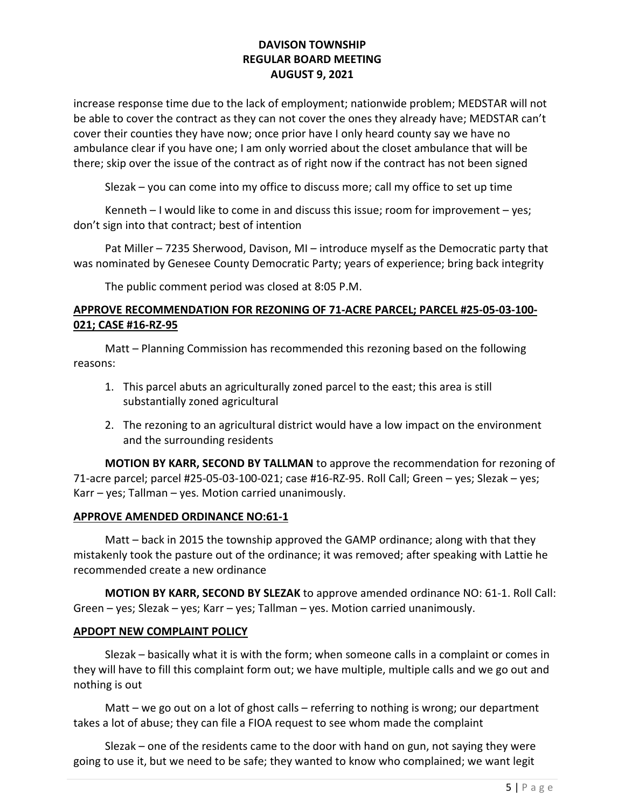increase response time due to the lack of employment; nationwide problem; MEDSTAR will not be able to cover the contract as they can not cover the ones they already have; MEDSTAR can't cover their counties they have now; once prior have I only heard county say we have no ambulance clear if you have one; I am only worried about the closet ambulance that will be there; skip over the issue of the contract as of right now if the contract has not been signed

Slezak – you can come into my office to discuss more; call my office to set up time

 Kenneth – I would like to come in and discuss this issue; room for improvement – yes; don't sign into that contract; best of intention

 Pat Miller – 7235 Sherwood, Davison, MI – introduce myself as the Democratic party that was nominated by Genesee County Democratic Party; years of experience; bring back integrity

The public comment period was closed at 8:05 P.M.

# APPROVE RECOMMENDATION FOR REZONING OF 71-ACRE PARCEL; PARCEL #25-05-03-100- 021; CASE #16-RZ-95

 Matt – Planning Commission has recommended this rezoning based on the following reasons:

- 1. This parcel abuts an agriculturally zoned parcel to the east; this area is still substantially zoned agricultural
- 2. The rezoning to an agricultural district would have a low impact on the environment and the surrounding residents

MOTION BY KARR, SECOND BY TALLMAN to approve the recommendation for rezoning of 71-acre parcel; parcel #25-05-03-100-021; case #16-RZ-95. Roll Call; Green – yes; Slezak – yes; Karr – yes; Tallman – yes. Motion carried unanimously.

### APPROVE AMENDED ORDINANCE NO:61-1

 Matt – back in 2015 the township approved the GAMP ordinance; along with that they mistakenly took the pasture out of the ordinance; it was removed; after speaking with Lattie he recommended create a new ordinance

MOTION BY KARR, SECOND BY SLEZAK to approve amended ordinance NO: 61-1. Roll Call: Green – yes; Slezak – yes; Karr – yes; Tallman – yes. Motion carried unanimously.

# APDOPT NEW COMPLAINT POLICY

 Slezak – basically what it is with the form; when someone calls in a complaint or comes in they will have to fill this complaint form out; we have multiple, multiple calls and we go out and nothing is out

 Matt – we go out on a lot of ghost calls – referring to nothing is wrong; our department takes a lot of abuse; they can file a FIOA request to see whom made the complaint

 Slezak – one of the residents came to the door with hand on gun, not saying they were going to use it, but we need to be safe; they wanted to know who complained; we want legit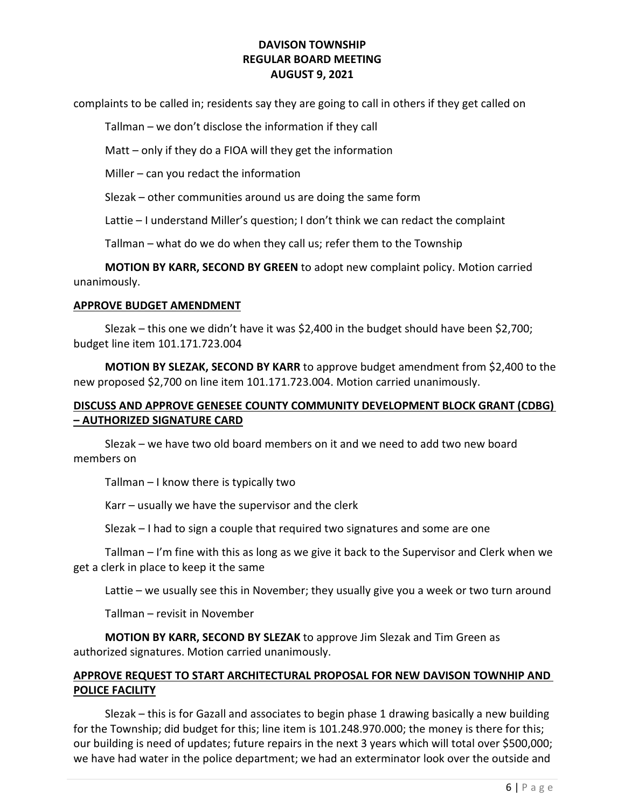complaints to be called in; residents say they are going to call in others if they get called on

Tallman – we don't disclose the information if they call

Matt – only if they do a FIOA will they get the information

Miller – can you redact the information

Slezak – other communities around us are doing the same form

Lattie – I understand Miller's question; I don't think we can redact the complaint

Tallman – what do we do when they call us; refer them to the Township

 MOTION BY KARR, SECOND BY GREEN to adopt new complaint policy. Motion carried unanimously.

#### APPROVE BUDGET AMENDMENT

 Slezak – this one we didn't have it was \$2,400 in the budget should have been \$2,700; budget line item 101.171.723.004

MOTION BY SLEZAK, SECOND BY KARR to approve budget amendment from \$2,400 to the new proposed \$2,700 on line item 101.171.723.004. Motion carried unanimously.

# DISCUSS AND APPROVE GENESEE COUNTY COMMUNITY DEVELOPMENT BLOCK GRANT (CDBG) – AUTHORIZED SIGNATURE CARD

 Slezak – we have two old board members on it and we need to add two new board members on

Tallman – I know there is typically two

Karr – usually we have the supervisor and the clerk

Slezak – I had to sign a couple that required two signatures and some are one

 Tallman – I'm fine with this as long as we give it back to the Supervisor and Clerk when we get a clerk in place to keep it the same

Lattie – we usually see this in November; they usually give you a week or two turn around

Tallman – revisit in November

MOTION BY KARR, SECOND BY SLEZAK to approve Jim Slezak and Tim Green as authorized signatures. Motion carried unanimously.

## APPROVE REQUEST TO START ARCHITECTURAL PROPOSAL FOR NEW DAVISON TOWNHIP AND POLICE FACILITY

 Slezak – this is for Gazall and associates to begin phase 1 drawing basically a new building for the Township; did budget for this; line item is 101.248.970.000; the money is there for this; our building is need of updates; future repairs in the next 3 years which will total over \$500,000; we have had water in the police department; we had an exterminator look over the outside and